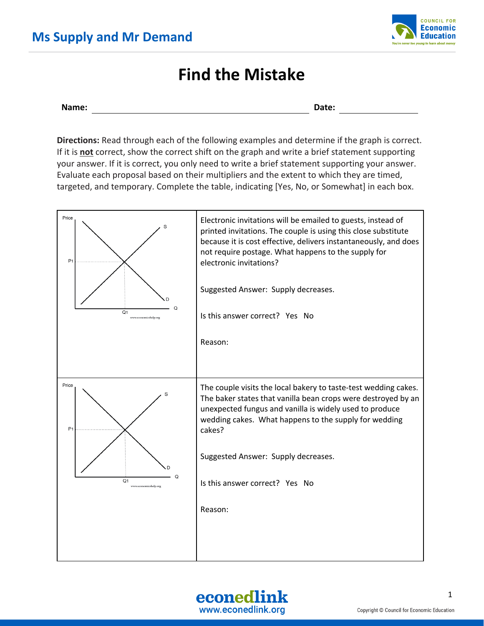

## **Find the Mistake**

```
Name: Date:
```
**Directions:** Read through each of the following examples and determine if the graph is correct. If it is **not** correct, show the correct shift on the graph and write a brief statement supporting your answer. If it is correct, you only need to write a brief statement supporting your answer. Evaluate each proposal based on their multipliers and the extent to which they are timed, targeted, and temporary. Complete the table, indicating [Yes, No, or Somewhat] in each box.